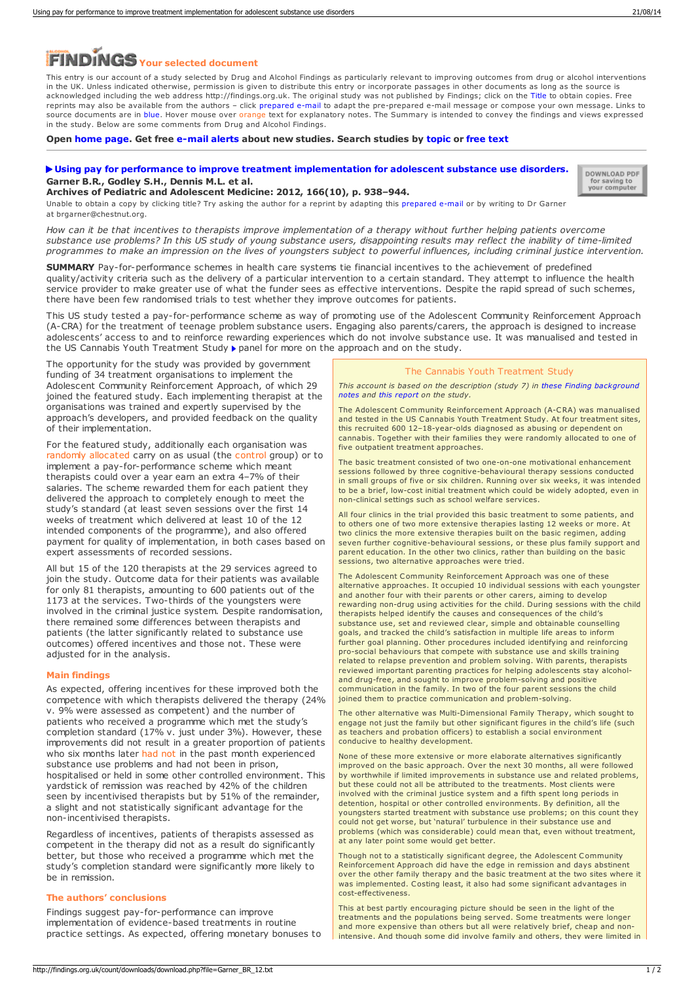# **Your selected document**

This entry is our account of a study selected by Drug and Alcohol Findings as particularly relevant to improving outcomes from drug or alcohol interventions in the UK. Unless indicated otherwise, permission is given to distribute this entry or incorporate passages in other documents as long as the source is acknowledged including the web address http://findings.org.uk. The original study was not published by Findings; click on the Title to obtain copies. Free reprints may also be available from the authors – click prepared e-mail to adapt the pre-prepared e-mail message or compose your own message. Links to source documents are in blue. Hover mouse over orange text for explanatory notes. The Summary is intended to convey the findings and views expressed in the study. Below are some comments from Drug and Alcohol Findings.

**Open [home](https://findings.org.uk/index.php) page. Get free [e-mail](https://findings.org.uk/index.php#signUp) alerts about new studies. Search studies by [topic](https://findings.org.uk/topic_search.htm) or [free](https://findings.org.uk/free_search.htm) text**

## **Using pay for performance to improve treatment [implementation](http://dx.doi.org/10.1001/archpediatrics.2012.802) for adolescent substance use disorders. Garner B.R., Godley S.H., Dennis M.L. et al. Archives of Pediatric and Adolescent Medicine: 2012, 166(10), p. 938–944.**

DOWNLOAD PDF for saving to<br>your computer

Unable to obtain a copy by clicking title? Try asking the author for a reprint by adapting this [prepared](mailto:brgarner@chestnut.org?Subject=Reprint request&body=Dear Dr Garner%0A%0AOn the Drug and Alcohol Findings web site (https://findings.org.uk) I read about your article:%0AGarner B.R., Godley S.H., Dennis M.L. et al. Using pay for performance to improve treatment implementation for adolescent substance use disorders. Archives of Pediatric and Adolescent Medicine: 2012, 166(10), p. 938-944.%0A%0AWould it be possible to for me to be sent a PDF reprint or the manuscript by replying to this e-mail?%0A) e-mail or by writing to Dr Garner at brgarner@chestnut.org

How can it be that incentives to therapists improve implementation of a therapy without further helping patients overcome substance use problems? In this US study of young substance users, disappointing results may reflect the inability of time-limited programmes to make an impression on the lives of youngsters subject to powerful influences, including criminal justice intervention.

**SUMMARY** Pay-for-performance schemes in health care systems tie financial incentives to the achievement of predefined quality/activity criteria such as the delivery of a particular intervention to a certain standard. They attempt to influence the health service provider to make greater use of what the funder sees as effective interventions. Despite the rapid spread of such schemes, there have been few randomised trials to test whether they improve outcomes for patients.

This US study tested a pay-for-performance scheme as way of promoting use of the Adolescent Community Reinforcement Approach (A-CRA) for the treatment of teenage problem substance users. Engaging also parents/carers, the approach is designed to increase adolescents' access to and to reinforce rewarding experiences which do not involve substance use. It was manualised and tested in the US Cannabis Youth Treatment Study  $\blacktriangleright$  panel for more on the approach and on the study.

The opportunity for the study was provided by government funding of 34 treatment organisations to implement the Adolescent Community Reinforcement Approach, of which 29 joined the featured study. Each implementing therapist at the organisations was trained and expertly supervised by the approach's developers, and provided feedback on the quality of their implementation.

For the featured study, additionally each organisation was randomly allocated carry on as usual (the control group) or to implement a pay-for-performance scheme which meant therapists could over a year earn an extra 4–7% of their salaries. The scheme rewarded them for each patient they delivered the approach to completely enough to meet the study's standard (at least seven sessions over the first 14 weeks of treatment which delivered at least 10 of the 12 intended components of the programme), and also offered payment for quality of implementation, in both cases based on expert assessments of recorded sessions.

All but 15 of the 120 therapists at the 29 services agreed to join the study. Outcome data for their patients was available for only 81 therapists, amounting to 600 patients out of the 1173 at the services. Two-thirds of the youngsters were involved in the criminal justice system. Despite randomisation, there remained some differences between therapists and patients (the latter significantly related to substance use outcomes) offered incentives and those not. These were adjusted for in the analysis.

### **Main findings**

As expected, offering incentives for these improved both the competence with which therapists delivered the therapy (24% v. 9% were assessed as competent) and the number of patients who received a programme which met the study's completion standard (17% v. just under 3%). However, these improvements did not result in a greater proportion of patients who six months later had not in the past month experienced substance use problems and had not been in prison, hospitalised or held in some other controlled environment. This yardstick of remission was reached by 42% of the children seen by incentivised therapists but by 51% of the remainder, a slight and not statistically significant advantage for the non-incentivised therapists.

Regardless of incentives, patients of therapists assessed as competent in the therapy did not as a result do significantly better, but those who received a programme which met the study's completion standard were significantly more likely to be in remission.

### **The authors' conclusions**

Findings suggest pay-for-performance can improve implementation of evidence-based treatments in routine practice settings. As expected, offering monetary bonuses to

# The Cannabis Youth Treatment Study

*This account is based on the description (study 7) in these Finding [background](https://findings.org.uk/count/downloads/download.php?file=Ashton_M_34_back.pdf) notes and this [report](http://dx.doi.org/10.1016/j.jsat.2003.09.005) on the study.*

The Adolescent Community Reinforcement Approach (A-CRA) was manualised and tested in the US Cannabis Youth Treatment Study. At four treatment sites, this recruited 600 12–18-year-olds diagnosed as abusing or dependent on cannabis. Together with their families they were randomly allocated to one of five outpatient treatment approaches.

The basic treatment consisted of two one-on-one motivational enhancement sessions followed by three cognitive-behavioural therapy sessions conducted in small groups of five or six children. Running over six weeks, it was intended to be a brief, low-cost initial treatment which could be widely adopted, even in non-clinical settings such as school welfare services.

All four clinics in the trial provided this basic treatment to some patients, and to others one of two more extensive therapies lasting 12 weeks or more. At two clinics the more extensive therapies built on the basic regimen, adding seven further cognitive-behavioural sessions, or these plus family support and parent education. In the other two clinics, rather than building on the basic sessions, two alternative approaches were tried.

The Adolescent Community Reinforcement Approach was one of these alternative approaches. It occupied 10 individual sessions with each youngster and another four with their parents or other carers, aiming to develop rewarding non-drug using activities for the child. During sessions with the child therapists helped identify the causes and consequences of the child's substance use, set and reviewed clear, simple and obtainable counselling goals, and tracked the child's satisfaction in multiple life areas to inform further goal planning. Other procedures included identifying and reinforcing pro-social behaviours that compete with substance use and skills training related to relapse prevention and problem solving. With parents, therapists reviewed important parenting practices for helping adolescents stay alcoholand drug-free, and sought to improve problem-solving and positive communication in the family. In two of the four parent sessions the child joined them to practice communication and problem-solving.

The other alternative was Multi-Dimensional Family Therapy, which sought to engage not just the family but other significant figures in the child's life (such as teachers and probation officers) to establish a social environment conducive to healthy development.

None of these more extensive or more elaborate alternatives significantly improved on the basic approach. Over the next 30 months, all were followed by worthwhile if limited improvements in substance use and related problems, but these could not all be attributed to the treatments. Most clients were involved with the criminal justice system and a fifth spent long periods in detention, hospital or other controlled environments. By definition, all the youngsters started treatment with substance use problems; on this count they could not get worse, but 'natural' turbulence in their substance use and problems (which was considerable) could mean that, even without treatment, at any later point some would get better.

Though not to a statistically significant degree, the Adolescent Community Reinforcement Approach did have the edge in remission and days abstinent over the other family therapy and the basic treatment at the two sites where it was implemented. Costing least, it also had some significant advantages in cost-effectiveness.

This at best partly encouraging picture should be seen in the light of the treatments and the populations being served. Some treatments were longer and more expensive than others but all were relatively brief, cheap and nonintensive. And though some did involve family and others, they were limited in